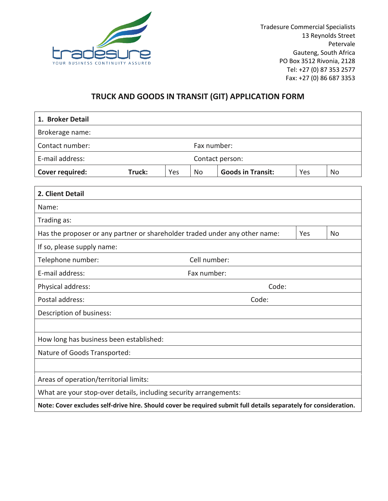

Tradesure Commercial Specialists 13 Reynolds Street Petervale Gauteng, South Africa PO Box 3512 Rivonia, 2128 Tel: +27 (0) 87 353 2577 Fax: +27 (0) 86 687 3353

## **TRUCK AND GOODS IN TRANSIT (GIT) APPLICATION FORM**

| 1. Broker Detail                                                                                                 |             |     |             |                          |     |           |
|------------------------------------------------------------------------------------------------------------------|-------------|-----|-------------|--------------------------|-----|-----------|
| Brokerage name:                                                                                                  |             |     |             |                          |     |           |
| Contact number:                                                                                                  |             |     | Fax number: |                          |     |           |
| E-mail address:<br>Contact person:                                                                               |             |     |             |                          |     |           |
| <b>Cover required:</b>                                                                                           | Truck:      | Yes | No          | <b>Goods in Transit:</b> | Yes | No        |
|                                                                                                                  |             |     |             |                          |     |           |
| 2. Client Detail                                                                                                 |             |     |             |                          |     |           |
| Name:                                                                                                            |             |     |             |                          |     |           |
| Trading as:                                                                                                      |             |     |             |                          |     |           |
| Has the proposer or any partner or shareholder traded under any other name:                                      |             |     |             |                          | Yes | <b>No</b> |
| If so, please supply name:                                                                                       |             |     |             |                          |     |           |
| Cell number:<br>Telephone number:                                                                                |             |     |             |                          |     |           |
| E-mail address:                                                                                                  | Fax number: |     |             |                          |     |           |
| Physical address:                                                                                                |             |     |             | Code:                    |     |           |
| Postal address:                                                                                                  |             |     |             | Code:                    |     |           |
| Description of business:                                                                                         |             |     |             |                          |     |           |
|                                                                                                                  |             |     |             |                          |     |           |
| How long has business been established:                                                                          |             |     |             |                          |     |           |
| Nature of Goods Transported:                                                                                     |             |     |             |                          |     |           |
|                                                                                                                  |             |     |             |                          |     |           |
| Areas of operation/territorial limits:                                                                           |             |     |             |                          |     |           |
| What are your stop-over details, including security arrangements:                                                |             |     |             |                          |     |           |
| Note: Cover excludes self-drive hire. Should cover be required submit full details separately for consideration. |             |     |             |                          |     |           |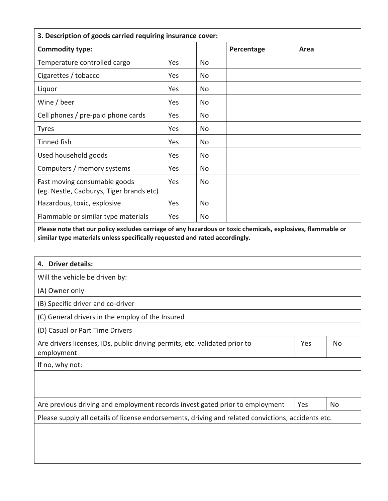| 3. Description of goods carried requiring insurance cover:                                                  |            |     |            |      |  |
|-------------------------------------------------------------------------------------------------------------|------------|-----|------------|------|--|
| <b>Commodity type:</b>                                                                                      |            |     | Percentage | Area |  |
| Temperature controlled cargo                                                                                | Yes        | No. |            |      |  |
| Cigarettes / tobacco                                                                                        | <b>Yes</b> | No. |            |      |  |
| Liquor                                                                                                      | Yes        | No. |            |      |  |
| Wine / beer                                                                                                 | <b>Yes</b> | No. |            |      |  |
| Cell phones / pre-paid phone cards                                                                          | Yes        | No. |            |      |  |
| <b>Tyres</b>                                                                                                | Yes        | No. |            |      |  |
| Tinned fish                                                                                                 | Yes        | No  |            |      |  |
| Used household goods                                                                                        | Yes        | No. |            |      |  |
| Computers / memory systems                                                                                  | Yes        | No  |            |      |  |
| Fast moving consumable goods<br>(eg. Nestle, Cadburys, Tiger brands etc)                                    | Yes        | No  |            |      |  |
| Hazardous, toxic, explosive                                                                                 | Yes        | No  |            |      |  |
| Flammable or similar type materials                                                                         | Yes        | No  |            |      |  |
| Please note that our policy excludes carriage of any hazardous or toxic chemicals, explosives, flammable or |            |     |            |      |  |

**Please note that our policy excludes carriage of any hazardous or toxic chemicals, explosives, flammable or similar type materials unless specifically requested and rated accordingly.**

| <b>Driver details:</b><br>4.                                                                       |     |           |
|----------------------------------------------------------------------------------------------------|-----|-----------|
| Will the vehicle be driven by:                                                                     |     |           |
| (A) Owner only                                                                                     |     |           |
| (B) Specific driver and co-driver                                                                  |     |           |
| (C) General drivers in the employ of the Insured                                                   |     |           |
| (D) Casual or Part Time Drivers                                                                    |     |           |
| Are drivers licenses, IDs, public driving permits, etc. validated prior to<br>employment           | Yes | No        |
| If no, why not:                                                                                    |     |           |
|                                                                                                    |     |           |
|                                                                                                    |     |           |
| Are previous driving and employment records investigated prior to employment                       | Yes | <b>No</b> |
| Please supply all details of license endorsements, driving and related convictions, accidents etc. |     |           |
|                                                                                                    |     |           |
|                                                                                                    |     |           |
|                                                                                                    |     |           |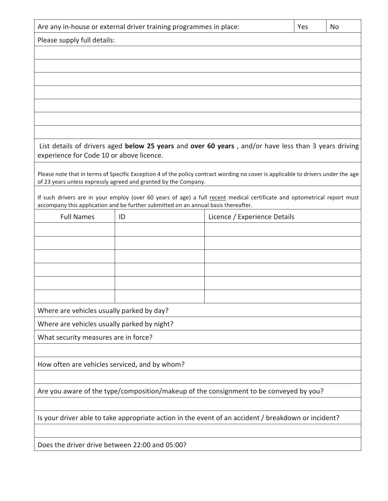| Are any in-house or external driver training programmes in place:                                   |                                                                                    | Yes                                                                                                                              | No |  |  |  |  |
|-----------------------------------------------------------------------------------------------------|------------------------------------------------------------------------------------|----------------------------------------------------------------------------------------------------------------------------------|----|--|--|--|--|
| Please supply full details:                                                                         |                                                                                    |                                                                                                                                  |    |  |  |  |  |
|                                                                                                     |                                                                                    |                                                                                                                                  |    |  |  |  |  |
|                                                                                                     |                                                                                    |                                                                                                                                  |    |  |  |  |  |
|                                                                                                     |                                                                                    |                                                                                                                                  |    |  |  |  |  |
|                                                                                                     |                                                                                    |                                                                                                                                  |    |  |  |  |  |
|                                                                                                     |                                                                                    |                                                                                                                                  |    |  |  |  |  |
|                                                                                                     |                                                                                    |                                                                                                                                  |    |  |  |  |  |
|                                                                                                     |                                                                                    |                                                                                                                                  |    |  |  |  |  |
| experience for Code 10 or above licence.                                                            |                                                                                    | List details of drivers aged below 25 years and over 60 years, and/or have less than 3 years driving                             |    |  |  |  |  |
|                                                                                                     |                                                                                    |                                                                                                                                  |    |  |  |  |  |
|                                                                                                     | of 23 years unless expressly agreed and granted by the Company.                    | Please note that in terms of Specific Exception 4 of the policy contract wording no cover is applicable to drivers under the age |    |  |  |  |  |
|                                                                                                     |                                                                                    | If such drivers are in your employ (over 60 years of age) a full recent medical certificate and optometrical report must         |    |  |  |  |  |
|                                                                                                     | accompany this application and be further submitted on an annual basis thereafter. |                                                                                                                                  |    |  |  |  |  |
| <b>Full Names</b>                                                                                   | ID                                                                                 | Licence / Experience Details                                                                                                     |    |  |  |  |  |
|                                                                                                     |                                                                                    |                                                                                                                                  |    |  |  |  |  |
|                                                                                                     |                                                                                    |                                                                                                                                  |    |  |  |  |  |
|                                                                                                     |                                                                                    |                                                                                                                                  |    |  |  |  |  |
|                                                                                                     |                                                                                    |                                                                                                                                  |    |  |  |  |  |
|                                                                                                     |                                                                                    |                                                                                                                                  |    |  |  |  |  |
| Where are vehicles usually parked by day?                                                           |                                                                                    |                                                                                                                                  |    |  |  |  |  |
| Where are vehicles usually parked by night?                                                         |                                                                                    |                                                                                                                                  |    |  |  |  |  |
| What security measures are in force?                                                                |                                                                                    |                                                                                                                                  |    |  |  |  |  |
|                                                                                                     |                                                                                    |                                                                                                                                  |    |  |  |  |  |
| How often are vehicles serviced, and by whom?                                                       |                                                                                    |                                                                                                                                  |    |  |  |  |  |
|                                                                                                     |                                                                                    |                                                                                                                                  |    |  |  |  |  |
| Are you aware of the type/composition/makeup of the consignment to be conveyed by you?              |                                                                                    |                                                                                                                                  |    |  |  |  |  |
|                                                                                                     |                                                                                    |                                                                                                                                  |    |  |  |  |  |
| Is your driver able to take appropriate action in the event of an accident / breakdown or incident? |                                                                                    |                                                                                                                                  |    |  |  |  |  |
|                                                                                                     |                                                                                    |                                                                                                                                  |    |  |  |  |  |
| Does the driver drive between 22:00 and 05:00?                                                      |                                                                                    |                                                                                                                                  |    |  |  |  |  |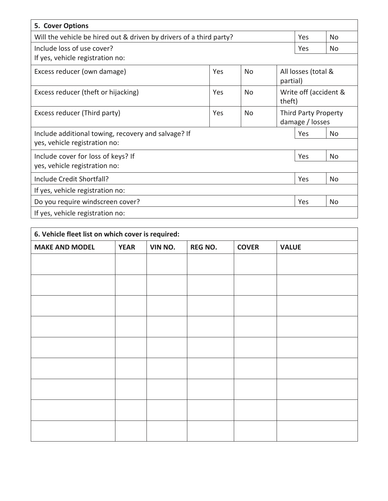| 5. Cover Options                                                    |                                                             |                |                                 |     |     |
|---------------------------------------------------------------------|-------------------------------------------------------------|----------------|---------------------------------|-----|-----|
| Will the vehicle be hired out & driven by drivers of a third party? | Yes                                                         | No.            |                                 |     |     |
| Include loss of use cover?                                          | Yes                                                         | No.            |                                 |     |     |
| If yes, vehicle registration no:                                    |                                                             |                |                                 |     |     |
| Excess reducer (own damage)                                         | All losses (total &<br>Yes<br><b>No</b><br>partial)         |                |                                 |     |     |
| Excess reducer (theft or hijacking)                                 | Yes                                                         | N <sub>0</sub> | Write off (accident &<br>theft) |     |     |
| Excess reducer (Third party)                                        | Yes<br><b>Third Party Property</b><br>No<br>damage / losses |                |                                 |     |     |
| Include additional towing, recovery and salvage? If                 |                                                             |                |                                 | Yes | No. |
| yes, vehicle registration no:                                       |                                                             |                |                                 |     |     |
| Include cover for loss of keys? If                                  |                                                             |                |                                 | Yes | No. |
| yes, vehicle registration no:                                       |                                                             |                |                                 |     |     |
| Include Credit Shortfall?                                           |                                                             |                |                                 | Yes | No  |
| If yes, vehicle registration no:                                    |                                                             |                |                                 |     |     |
| Do you require windscreen cover?                                    |                                                             |                |                                 | Yes | No. |
| If yes, vehicle registration no:                                    |                                                             |                |                                 |     |     |

| 6. Vehicle fleet list on which cover is required: |             |         |                |              |              |  |  |
|---------------------------------------------------|-------------|---------|----------------|--------------|--------------|--|--|
| <b>MAKE AND MODEL</b>                             | <b>YEAR</b> | VIN NO. | <b>REG NO.</b> | <b>COVER</b> | <b>VALUE</b> |  |  |
|                                                   |             |         |                |              |              |  |  |
|                                                   |             |         |                |              |              |  |  |
|                                                   |             |         |                |              |              |  |  |
|                                                   |             |         |                |              |              |  |  |
|                                                   |             |         |                |              |              |  |  |
|                                                   |             |         |                |              |              |  |  |
|                                                   |             |         |                |              |              |  |  |
|                                                   |             |         |                |              |              |  |  |
|                                                   |             |         |                |              |              |  |  |
|                                                   |             |         |                |              |              |  |  |
|                                                   |             |         |                |              |              |  |  |
|                                                   |             |         |                |              |              |  |  |
|                                                   |             |         |                |              |              |  |  |
|                                                   |             |         |                |              |              |  |  |
|                                                   |             |         |                |              |              |  |  |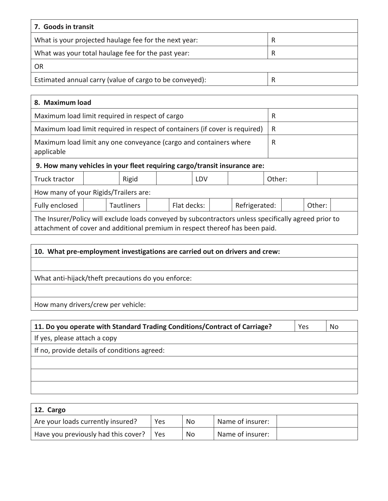| 7. Goods in transit                                     |   |
|---------------------------------------------------------|---|
| What is your projected haulage fee for the next year:   | R |
| What was your total haulage fee for the past year:      | R |
| OR                                                      |   |
| Estimated annual carry (value of cargo to be conveyed): | R |

| 8. Maximum load                                                                                                                                                                      |  |       |  |  |     |  |  |        |  |  |
|--------------------------------------------------------------------------------------------------------------------------------------------------------------------------------------|--|-------|--|--|-----|--|--|--------|--|--|
| Maximum load limit required in respect of cargo<br>R                                                                                                                                 |  |       |  |  |     |  |  |        |  |  |
| Maximum load limit required in respect of containers (if cover is required)                                                                                                          |  |       |  |  |     |  |  | R      |  |  |
| Maximum load limit any one conveyance (cargo and containers where<br>R<br>applicable                                                                                                 |  |       |  |  |     |  |  |        |  |  |
| 9. How many vehicles in your fleet requiring cargo/transit insurance are:                                                                                                            |  |       |  |  |     |  |  |        |  |  |
| Truck tractor                                                                                                                                                                        |  | Rigid |  |  | LDV |  |  | Other: |  |  |
| How many of your Rigids/Trailers are:                                                                                                                                                |  |       |  |  |     |  |  |        |  |  |
| Flat decks:<br>Other:<br><b>Tautliners</b><br>Refrigerated:<br>Fully enclosed                                                                                                        |  |       |  |  |     |  |  |        |  |  |
| The Insurer/Policy will exclude loads conveyed by subcontractors unless specifically agreed prior to<br>attachment of cover and additional premium in respect thereof has been paid. |  |       |  |  |     |  |  |        |  |  |

| 10. What pre-employment investigations are carried out on drivers and crew: |  |  |  |  |
|-----------------------------------------------------------------------------|--|--|--|--|
|                                                                             |  |  |  |  |
| What anti-hijack/theft precautions do you enforce:                          |  |  |  |  |
|                                                                             |  |  |  |  |
| How many drivers/crew per vehicle:                                          |  |  |  |  |

| 11. Do you operate with Standard Trading Conditions/Contract of Carriage? | Yes | No |
|---------------------------------------------------------------------------|-----|----|
| If yes, please attach a copy                                              |     |    |
| If no, provide details of conditions agreed:                              |     |    |
|                                                                           |     |    |
|                                                                           |     |    |
|                                                                           |     |    |

| 12. Cargo                           |            |    |                  |  |
|-------------------------------------|------------|----|------------------|--|
| Are your loads currently insured?   | Yes        | No | Name of insurer: |  |
| Have you previously had this cover? | <b>Yes</b> | No | Name of insurer: |  |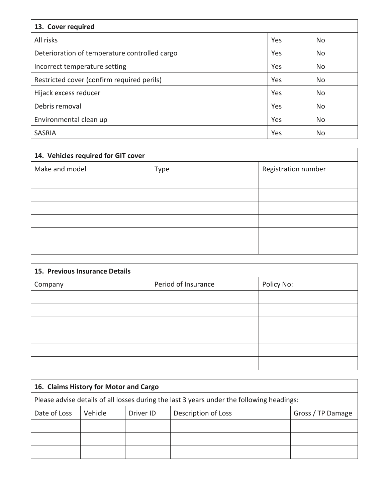| 13. Cover required                            |     |           |  |  |  |
|-----------------------------------------------|-----|-----------|--|--|--|
| All risks                                     | Yes | No.       |  |  |  |
| Deterioration of temperature controlled cargo | Yes | <b>No</b> |  |  |  |
| Incorrect temperature setting                 | Yes | No        |  |  |  |
| Restricted cover (confirm required perils)    | Yes | No        |  |  |  |
| Hijack excess reducer                         | Yes | No        |  |  |  |
| Debris removal                                | Yes | <b>No</b> |  |  |  |
| Environmental clean up                        | Yes | <b>No</b> |  |  |  |
| <b>SASRIA</b>                                 | Yes | No        |  |  |  |

| 14. Vehicles required for GIT cover |      |                     |  |  |
|-------------------------------------|------|---------------------|--|--|
| Make and model                      | Type | Registration number |  |  |
|                                     |      |                     |  |  |
|                                     |      |                     |  |  |
|                                     |      |                     |  |  |
|                                     |      |                     |  |  |
|                                     |      |                     |  |  |
|                                     |      |                     |  |  |

| 15. Previous Insurance Details |                     |            |  |  |
|--------------------------------|---------------------|------------|--|--|
| Company                        | Period of Insurance | Policy No: |  |  |
|                                |                     |            |  |  |
|                                |                     |            |  |  |
|                                |                     |            |  |  |
|                                |                     |            |  |  |
|                                |                     |            |  |  |
|                                |                     |            |  |  |

| 16. Claims History for Motor and Cargo                                                    |         |           |                     |                   |  |
|-------------------------------------------------------------------------------------------|---------|-----------|---------------------|-------------------|--|
| Please advise details of all losses during the last 3 years under the following headings: |         |           |                     |                   |  |
| Date of Loss                                                                              | Vehicle | Driver ID | Description of Loss | Gross / TP Damage |  |
|                                                                                           |         |           |                     |                   |  |
|                                                                                           |         |           |                     |                   |  |
|                                                                                           |         |           |                     |                   |  |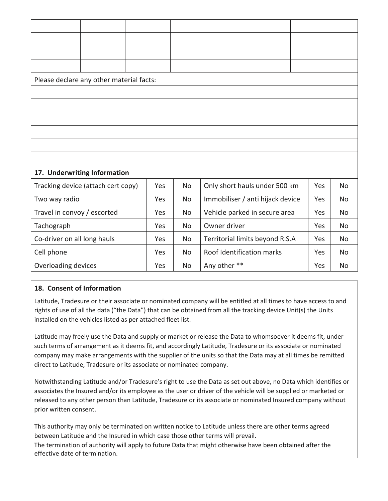| Please declare any other material facts: |     |           |                                  |     |           |
|------------------------------------------|-----|-----------|----------------------------------|-----|-----------|
|                                          |     |           |                                  |     |           |
|                                          |     |           |                                  |     |           |
|                                          |     |           |                                  |     |           |
|                                          |     |           |                                  |     |           |
|                                          |     |           |                                  |     |           |
|                                          |     |           |                                  |     |           |
| 17. Underwriting Information             |     |           |                                  |     |           |
| Tracking device (attach cert copy)       | Yes | <b>No</b> | Only short hauls under 500 km    | Yes | <b>No</b> |
| Two way radio                            | Yes | No        | Immobiliser / anti hijack device | Yes | <b>No</b> |
| Travel in convoy / escorted              | Yes | No        | Vehicle parked in secure area    | Yes | <b>No</b> |
| Tachograph                               | Yes | No        | Owner driver                     | Yes | <b>No</b> |
| Co-driver on all long hauls              | Yes | No        | Territorial limits beyond R.S.A  | Yes | <b>No</b> |
| Cell phone                               | Yes | No        | Roof Identification marks        | Yes | <b>No</b> |
| Overloading devices                      | Yes | No        | Any other **                     | Yes | No        |

## **18. Consent of Information**

Latitude, Tradesure or their associate or nominated company will be entitled at all times to have access to and rights of use of all the data ("the Data") that can be obtained from all the tracking device Unit(s) the Units installed on the vehicles listed as per attached fleet list.

Latitude may freely use the Data and supply or market or release the Data to whomsoever it deems fit, under such terms of arrangement as it deems fit, and accordingly Latitude, Tradesure or its associate or nominated company may make arrangements with the supplier of the units so that the Data may at all times be remitted direct to Latitude, Tradesure or its associate or nominated company.

Notwithstanding Latitude and/or Tradesure's right to use the Data as set out above, no Data which identifies or associates the Insured and/or its employee as the user or driver of the vehicle will be supplied or marketed or released to any other person than Latitude, Tradesure or its associate or nominated Insured company without prior written consent.

This authority may only be terminated on written notice to Latitude unless there are other terms agreed between Latitude and the Insured in which case those other terms will prevail.

The termination of authority will apply to future Data that might otherwise have been obtained after the effective date of termination.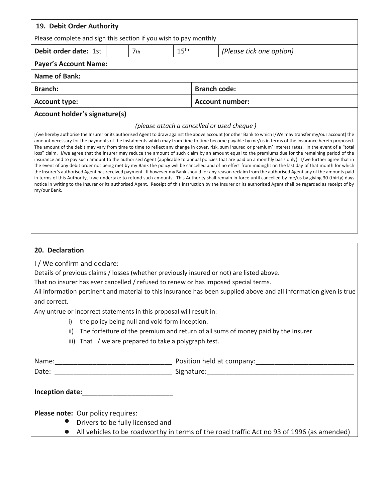| 19. Debit Order Authority                                                                                                                                                                                                                                                                                                                                                                                                                                                                                                                                                                                                                                                                                                                                                                                                                                                                                                                                                                                                                                                                                                                                                                                                                                                                                                                                                                                                                                                                                                                                          |  |                 |                        |                          |
|--------------------------------------------------------------------------------------------------------------------------------------------------------------------------------------------------------------------------------------------------------------------------------------------------------------------------------------------------------------------------------------------------------------------------------------------------------------------------------------------------------------------------------------------------------------------------------------------------------------------------------------------------------------------------------------------------------------------------------------------------------------------------------------------------------------------------------------------------------------------------------------------------------------------------------------------------------------------------------------------------------------------------------------------------------------------------------------------------------------------------------------------------------------------------------------------------------------------------------------------------------------------------------------------------------------------------------------------------------------------------------------------------------------------------------------------------------------------------------------------------------------------------------------------------------------------|--|-----------------|------------------------|--------------------------|
| Please complete and sign this section if you wish to pay monthly                                                                                                                                                                                                                                                                                                                                                                                                                                                                                                                                                                                                                                                                                                                                                                                                                                                                                                                                                                                                                                                                                                                                                                                                                                                                                                                                                                                                                                                                                                   |  |                 |                        |                          |
| Debit order date: 1st                                                                                                                                                                                                                                                                                                                                                                                                                                                                                                                                                                                                                                                                                                                                                                                                                                                                                                                                                                                                                                                                                                                                                                                                                                                                                                                                                                                                                                                                                                                                              |  | 7 <sub>th</sub> | 15 <sup>th</sup>       | (Please tick one option) |
| <b>Payer's Account Name:</b>                                                                                                                                                                                                                                                                                                                                                                                                                                                                                                                                                                                                                                                                                                                                                                                                                                                                                                                                                                                                                                                                                                                                                                                                                                                                                                                                                                                                                                                                                                                                       |  |                 |                        |                          |
| <b>Name of Bank:</b>                                                                                                                                                                                                                                                                                                                                                                                                                                                                                                                                                                                                                                                                                                                                                                                                                                                                                                                                                                                                                                                                                                                                                                                                                                                                                                                                                                                                                                                                                                                                               |  |                 |                        |                          |
| <b>Branch:</b>                                                                                                                                                                                                                                                                                                                                                                                                                                                                                                                                                                                                                                                                                                                                                                                                                                                                                                                                                                                                                                                                                                                                                                                                                                                                                                                                                                                                                                                                                                                                                     |  |                 | <b>Branch code:</b>    |                          |
| <b>Account type:</b>                                                                                                                                                                                                                                                                                                                                                                                                                                                                                                                                                                                                                                                                                                                                                                                                                                                                                                                                                                                                                                                                                                                                                                                                                                                                                                                                                                                                                                                                                                                                               |  |                 | <b>Account number:</b> |                          |
| <b>Account holder's signature(s)</b><br>(please attach a cancelled or used cheque)<br>I/we hereby authorise the Insurer or its authorised Agent to draw against the above account (or other Bank to which I/We may transfer my/our account) the<br>amount necessary for the payments of the instalments which may from time to time become payable by me/us in terms of the insurance herein proposed.<br>The amount of the debit may vary from time to time to reflect any change in cover, risk, sum insured or premium' interest rates. In the event of a "total<br>loss" claim. I/we agree that the insurer may reduce the amount of such claim by an amount equal to the premiums due for the remaining period of the<br>insurance and to pay such amount to the authorised Agent (applicable to annual policies that are paid on a monthly basis only). I/we further agree that in<br>the event of any debit order not being met by my Bank the policy will be cancelled and of no effect from midnight on the last day of that month for which<br>the Insurer's authorised Agent has received payment. If however my Bank should for any reason reclaim from the authorised Agent any of the amounts paid<br>in terms of this Authority, I/we undertake to refund such amounts. This Authority shall remain in force until cancelled by me/us by giving 30 (thirty) days<br>notice in writing to the Insurer or its authorised Agent. Receipt of this instruction by the Insurer or its authorised Agent shall be regarded as receipt of by<br>my/our Bank. |  |                 |                        |                          |
|                                                                                                                                                                                                                                                                                                                                                                                                                                                                                                                                                                                                                                                                                                                                                                                                                                                                                                                                                                                                                                                                                                                                                                                                                                                                                                                                                                                                                                                                                                                                                                    |  |                 |                        |                          |

That no insurer has ever cancelled / refused to renew or has imposed special terms.

All information pertinent and material to this insurance has been supplied above and all information given is true and correct.

Any untrue or incorrect statements in this proposal will result in:

- i) the policy being null and void form inception.
- ii) The forfeiture of the premium and return of all sums of money paid by the Insurer.
- iii) That I / we are prepared to take a polygraph test.

| Name:                                                                                                                                                                                                                          | Position held at company:                                                                 |
|--------------------------------------------------------------------------------------------------------------------------------------------------------------------------------------------------------------------------------|-------------------------------------------------------------------------------------------|
| Date:                                                                                                                                                                                                                          | Signature:                                                                                |
| Inception date: and the state of the state of the state of the state of the state of the state of the state of the state of the state of the state of the state of the state of the state of the state of the state of the sta |                                                                                           |
| Please note: Our policy requires:<br>Drivers to be fully licensed and                                                                                                                                                          |                                                                                           |
|                                                                                                                                                                                                                                | All vehicles to be roadworthy in terms of the road traffic Act no 93 of 1996 (as amended) |
|                                                                                                                                                                                                                                |                                                                                           |